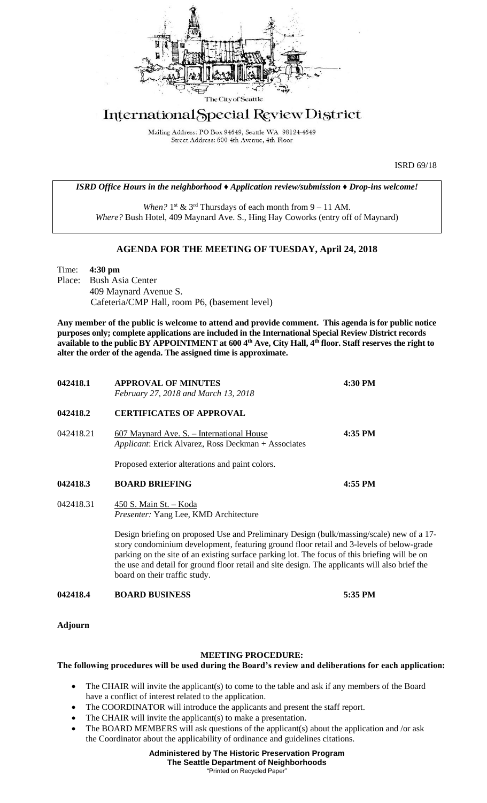

## International Special Review District

Mailing Address: PO Box 94649, Seattle WA 98124-4649 Street Address: 600 4th Avenue, 4th Floor

ISRD 69/18

*ISRD Office Hours in the neighborhood ♦ Application review/submission ♦ Drop-ins welcome!*

When?  $1<sup>st</sup>$  &  $3<sup>rd</sup>$  Thursdays of each month from  $9 - 11$  AM. *Where?* Bush Hotel, 409 Maynard Ave. S., Hing Hay Coworks (entry off of Maynard)

## **AGENDA FOR THE MEETING OF TUESDAY, April 24, 2018**

Time: **4:30 pm** Place: Bush Asia Center 409 Maynard Avenue S. Cafeteria/CMP Hall, room P6, (basement level)

**Any member of the public is welcome to attend and provide comment. This agenda is for public notice purposes only; complete applications are included in the International Special Review District records available to the public BY APPOINTMENT at 600 4th Ave, City Hall, 4th floor. Staff reserves the right to alter the order of the agenda. The assigned time is approximate.** 

| 042418.1  | <b>APPROVAL OF MINUTES</b><br>February 27, 2018 and March 13, 2018                                                                                                                                                                                                                                                                                                                                                       | 4:30 PM |
|-----------|--------------------------------------------------------------------------------------------------------------------------------------------------------------------------------------------------------------------------------------------------------------------------------------------------------------------------------------------------------------------------------------------------------------------------|---------|
| 042418.2  | <b>CERTIFICATES OF APPROVAL</b>                                                                                                                                                                                                                                                                                                                                                                                          |         |
| 042418.21 | 607 Maynard Ave. S. - International House<br>Applicant: Erick Alvarez, Ross Deckman + Associates                                                                                                                                                                                                                                                                                                                         | 4:35 PM |
|           | Proposed exterior alterations and paint colors.                                                                                                                                                                                                                                                                                                                                                                          |         |
| 042418.3  | <b>BOARD BRIEFING</b>                                                                                                                                                                                                                                                                                                                                                                                                    | 4:55 PM |
| 042418.31 | 450 S. Main St. - Koda<br>Presenter: Yang Lee, KMD Architecture                                                                                                                                                                                                                                                                                                                                                          |         |
|           | Design briefing on proposed Use and Preliminary Design (bulk/massing/scale) new of a 17-<br>story condominium development, featuring ground floor retail and 3-levels of below-grade<br>parking on the site of an existing surface parking lot. The focus of this briefing will be on<br>the use and detail for ground floor retail and site design. The applicants will also brief the<br>board on their traffic study. |         |
| 042418.4  | <b>BOARD BUSINESS</b>                                                                                                                                                                                                                                                                                                                                                                                                    | 5:35 PM |

**Adjourn**

## **MEETING PROCEDURE:**

## **The following procedures will be used during the Board's review and deliberations for each application:**

- The CHAIR will invite the applicant(s) to come to the table and ask if any members of the Board have a conflict of interest related to the application.
- The COORDINATOR will introduce the applicants and present the staff report.
- The CHAIR will invite the applicant(s) to make a presentation.
- The BOARD MEMBERS will ask questions of the applicant(s) about the application and /or ask the Coordinator about the applicability of ordinance and guidelines citations.

**Administered by The Historic Preservation Program The Seattle Department of Neighborhoods** "Printed on Recycled Paper"